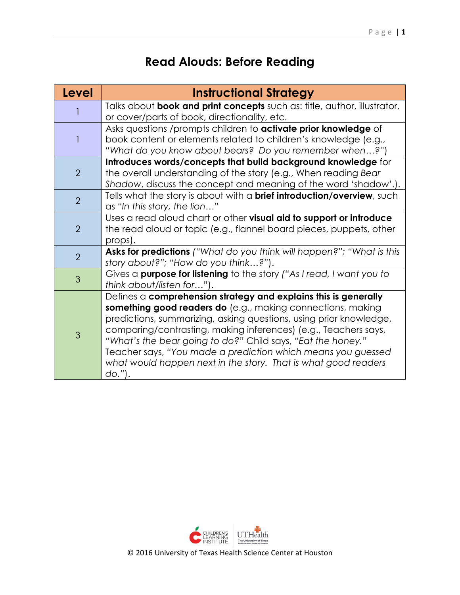## **Read Alouds: Before Reading**

| <b>Level</b>   | <b>Instructional Strategy</b>                                                                                                                                                                                                                                                                                                                                                                                                                                                           |
|----------------|-----------------------------------------------------------------------------------------------------------------------------------------------------------------------------------------------------------------------------------------------------------------------------------------------------------------------------------------------------------------------------------------------------------------------------------------------------------------------------------------|
|                | Talks about <b>book and print concepts</b> such as: title, author, illustrator,<br>or cover/parts of book, directionality, etc.                                                                                                                                                                                                                                                                                                                                                         |
|                | Asks questions /prompts children to activate prior knowledge of<br>book content or elements related to children's knowledge (e.g.,<br>"What do you know about bears? Do you remember when?")                                                                                                                                                                                                                                                                                            |
| $\overline{2}$ | Introduces words/concepts that build background knowledge for<br>the overall understanding of the story (e.g., When reading Bear<br>Shadow, discuss the concept and meaning of the word 'shadow'.).                                                                                                                                                                                                                                                                                     |
| $\overline{2}$ | Tells what the story is about with a <b>brief introduction/overview</b> , such<br>as "In this story, the lion"                                                                                                                                                                                                                                                                                                                                                                          |
| $\overline{2}$ | Uses a read aloud chart or other visual aid to support or introduce<br>the read aloud or topic (e.g., flannel board pieces, puppets, other<br>props).                                                                                                                                                                                                                                                                                                                                   |
| $\overline{2}$ | Asks for predictions ("What do you think will happen?"; "What is this<br>story about?"; "How do you think?").                                                                                                                                                                                                                                                                                                                                                                           |
| 3              | Gives a <b>purpose for listening</b> to the story ("As I read, I want you to<br>think about/listen for").                                                                                                                                                                                                                                                                                                                                                                               |
| 3              | Defines $a$ comprehension strategy and explains this is generally<br>something good readers do (e.g., making connections, making<br>predictions, summarizing, asking questions, using prior knowledge,<br>comparing/contrasting, making inferences) (e.g., Teachers says,<br>"What's the bear going to do?" Child says, "Eat the honey."<br>Teacher says, "You made a prediction which means you guessed<br>what would happen next in the story. That is what good readers<br>$d$ o."). |



© 2016 University of Texas Health Science Center at Houston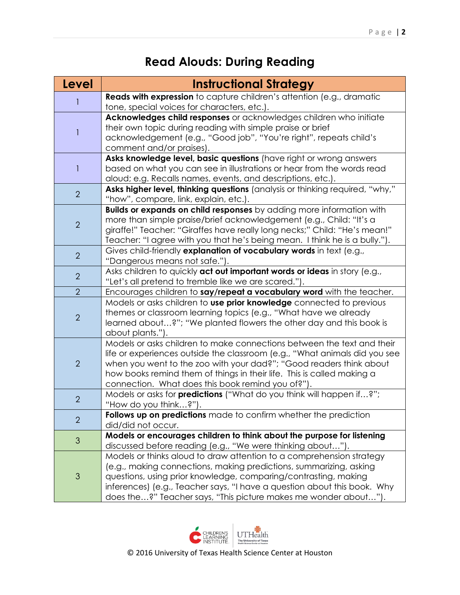## **Read Alouds: During Reading**

| <b>Level</b>   | <b>Instructional Strategy</b>                                                                                                                                                                                                                                                                                                                                |
|----------------|--------------------------------------------------------------------------------------------------------------------------------------------------------------------------------------------------------------------------------------------------------------------------------------------------------------------------------------------------------------|
|                | Reads with expression to capture children's attention (e.g., dramatic<br>tone, special voices for characters, etc.).                                                                                                                                                                                                                                         |
| 1              | Acknowledges child responses or acknowledges children who initiate<br>their own topic during reading with simple praise or brief<br>acknowledgement (e.g., "Good job", "You're right", repeats child's<br>comment and/or praises).                                                                                                                           |
| 1              | Asks knowledge level, basic questions (have right or wrong answers<br>based on what you can see in illustrations or hear from the words read<br>aloud; e.g. Recalls names, events, and descriptions, etc.).                                                                                                                                                  |
| 2              | Asks higher level, thinking questions (analysis or thinking required, "why,"<br>"how", compare, link, explain, etc.).                                                                                                                                                                                                                                        |
| $\overline{2}$ | <b>Builds or expands on child responses</b> by adding more information with<br>more than simple praise/brief acknowledgement (e.g., Child: "It's a<br>giraffe!" Teacher: "Giraffes have really long necks;" Child: "He's mean!"<br>Teacher: "I agree with you that he's being mean. I think he is a bully.").                                                |
| $\overline{2}$ | Gives child-friendly explanation of vocabulary words in text (e.g.,<br>"Dangerous means not safe.").                                                                                                                                                                                                                                                         |
| $\overline{2}$ | Asks children to quickly act out important words or ideas in story (e.g.,<br>"Let's all pretend to tremble like we are scared.").                                                                                                                                                                                                                            |
| $\overline{2}$ | Encourages children to say/repeat a vocabulary word with the teacher.                                                                                                                                                                                                                                                                                        |
| $\overline{2}$ | Models or asks children to use prior knowledge connected to previous<br>themes or classroom learning topics (e.g., "What have we already<br>learned about?"; "We planted flowers the other day and this book is<br>about plants.").                                                                                                                          |
| $\overline{2}$ | Models or asks children to make connections between the text and their<br>life or experiences outside the classroom (e.g., "What animals did you see<br>when you went to the zoo with your dad?"; "Good readers think about<br>how books remind them of things in their life. This is called making a<br>connection. What does this book remind you of?").   |
| $\overline{2}$ | Models or asks for <b>predictions</b> ("What do you think will happen if?";<br>"How do you think?").                                                                                                                                                                                                                                                         |
| $\overline{2}$ | <b>Follows up on predictions</b> made to confirm whether the prediction<br>did/did not occur.                                                                                                                                                                                                                                                                |
| 3              | Models or encourages children to think about the purpose for listening<br>discussed before reading (e.g., "We were thinking about").                                                                                                                                                                                                                         |
| 3              | Models or thinks aloud to draw attention to a comprehension strategy<br>(e.g., making connections, making predictions, summarizing, asking<br>questions, using prior knowledge, comparing/contrasting, making<br>inferences) (e.g., Teacher says, "I have a question about this book. Why<br>does the?" Teacher says, "This picture makes me wonder about"). |



© 2016 University of Texas Health Science Center at Houston